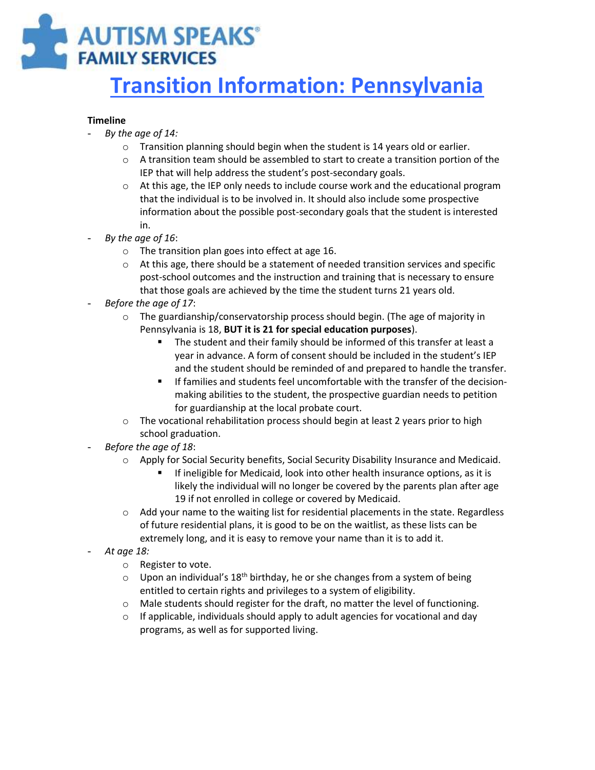# **AUTISM SPEAKS® FAMILY SERVICES**

# **Transition Information: Pennsylvania**

#### **Timeline**

- *By the age of 14:*
	- o Transition planning should begin when the student is 14 years old or earlier.
	- $\circ$  A transition team should be assembled to start to create a transition portion of the IEP that will help address the student's post-secondary goals.
	- $\circ$  At this age, the IEP only needs to include course work and the educational program that the individual is to be involved in. It should also include some prospective information about the possible post-secondary goals that the student is interested in.
- *By the age of 16*:
	- o The transition plan goes into effect at age 16.
	- $\circ$  At this age, there should be a statement of needed transition services and specific post-school outcomes and the instruction and training that is necessary to ensure that those goals are achieved by the time the student turns 21 years old.
- *Before the age of 17*:
	- $\circ$  The guardianship/conservatorship process should begin. (The age of majority in Pennsylvania is 18, **BUT it is 21 for special education purposes**).
		- The student and their family should be informed of this transfer at least a year in advance. A form of consent should be included in the student's IEP and the student should be reminded of and prepared to handle the transfer.
		- If families and students feel uncomfortable with the transfer of the decisionmaking abilities to the student, the prospective guardian needs to petition for guardianship at the local probate court.
	- $\circ$  The vocational rehabilitation process should begin at least 2 years prior to high school graduation.
- *Before the age of 18*:
	- o Apply for Social Security benefits, Social Security Disability Insurance and Medicaid.
		- **If ineligible for Medicaid, look into other health insurance options, as it is** likely the individual will no longer be covered by the parents plan after age 19 if not enrolled in college or covered by Medicaid.
	- $\circ$  Add your name to the waiting list for residential placements in the state. Regardless of future residential plans, it is good to be on the waitlist, as these lists can be extremely long, and it is easy to remove your name than it is to add it.
- *At age 18:*
	- o Register to vote.
	- $\circ$  Upon an individual's 18<sup>th</sup> birthday, he or she changes from a system of being entitled to certain rights and privileges to a system of eligibility.
	- o Male students should register for the draft, no matter the level of functioning.
	- o If applicable, individuals should apply to adult agencies for vocational and day programs, as well as for supported living.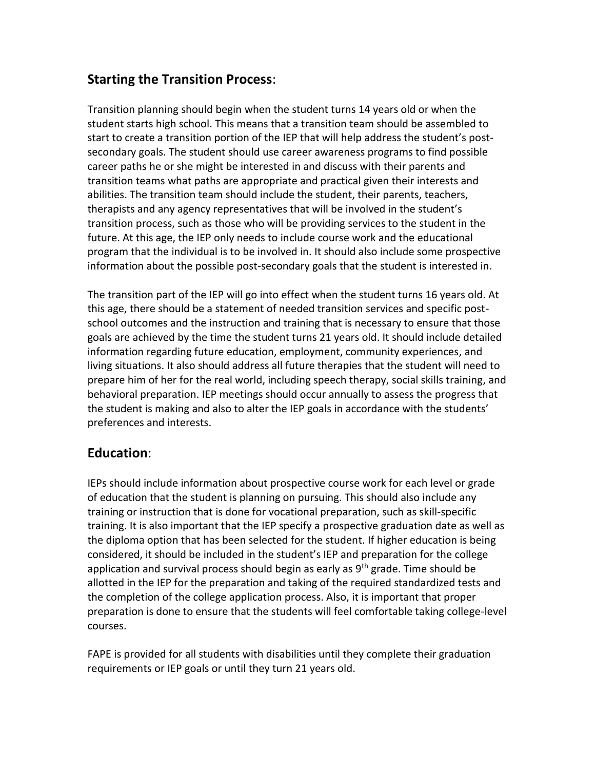#### **Starting the Transition Process**:

Transition planning should begin when the student turns 14 years old or when the student starts high school. This means that a transition team should be assembled to start to create a transition portion of the IEP that will help address the student's postsecondary goals. The student should use career awareness programs to find possible career paths he or she might be interested in and discuss with their parents and transition teams what paths are appropriate and practical given their interests and abilities. The transition team should include the student, their parents, teachers, therapists and any agency representatives that will be involved in the student's transition process, such as those who will be providing services to the student in the future. At this age, the IEP only needs to include course work and the educational program that the individual is to be involved in. It should also include some prospective information about the possible post-secondary goals that the student is interested in.

The transition part of the IEP will go into effect when the student turns 16 years old. At this age, there should be a statement of needed transition services and specific postschool outcomes and the instruction and training that is necessary to ensure that those goals are achieved by the time the student turns 21 years old. It should include detailed information regarding future education, employment, community experiences, and living situations. It also should address all future therapies that the student will need to prepare him of her for the real world, including speech therapy, social skills training, and behavioral preparation. IEP meetings should occur annually to assess the progress that the student is making and also to alter the IEP goals in accordance with the students' preferences and interests.

#### **Education**:

IEPs should include information about prospective course work for each level or grade of education that the student is planning on pursuing. This should also include any training or instruction that is done for vocational preparation, such as skill-specific training. It is also important that the IEP specify a prospective graduation date as well as the diploma option that has been selected for the student. If higher education is being considered, it should be included in the student's IEP and preparation for the college application and survival process should begin as early as 9<sup>th</sup> grade. Time should be allotted in the IEP for the preparation and taking of the required standardized tests and the completion of the college application process. Also, it is important that proper preparation is done to ensure that the students will feel comfortable taking college-level courses.

FAPE is provided for all students with disabilities until they complete their graduation requirements or IEP goals or until they turn 21 years old.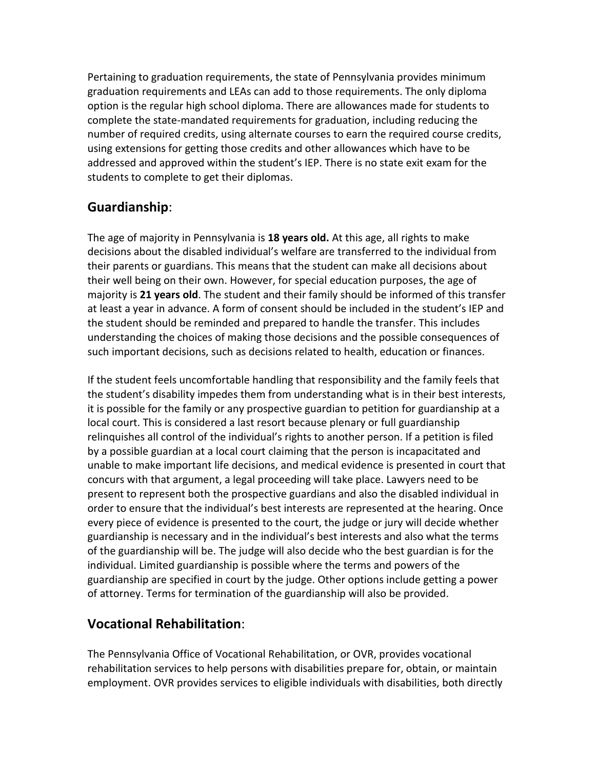Pertaining to graduation requirements, the state of Pennsylvania provides minimum graduation requirements and LEAs can add to those requirements. The only diploma option is the regular high school diploma. There are allowances made for students to complete the state-mandated requirements for graduation, including reducing the number of required credits, using alternate courses to earn the required course credits, using extensions for getting those credits and other allowances which have to be addressed and approved within the student's IEP. There is no state exit exam for the students to complete to get their diplomas.

## **Guardianship**:

The age of majority in Pennsylvania is **18 years old.** At this age, all rights to make decisions about the disabled individual's welfare are transferred to the individual from their parents or guardians. This means that the student can make all decisions about their well being on their own. However, for special education purposes, the age of majority is **21 years old**. The student and their family should be informed of this transfer at least a year in advance. A form of consent should be included in the student's IEP and the student should be reminded and prepared to handle the transfer. This includes understanding the choices of making those decisions and the possible consequences of such important decisions, such as decisions related to health, education or finances.

If the student feels uncomfortable handling that responsibility and the family feels that the student's disability impedes them from understanding what is in their best interests, it is possible for the family or any prospective guardian to petition for guardianship at a local court. This is considered a last resort because plenary or full guardianship relinquishes all control of the individual's rights to another person. If a petition is filed by a possible guardian at a local court claiming that the person is incapacitated and unable to make important life decisions, and medical evidence is presented in court that concurs with that argument, a legal proceeding will take place. Lawyers need to be present to represent both the prospective guardians and also the disabled individual in order to ensure that the individual's best interests are represented at the hearing. Once every piece of evidence is presented to the court, the judge or jury will decide whether guardianship is necessary and in the individual's best interests and also what the terms of the guardianship will be. The judge will also decide who the best guardian is for the individual. Limited guardianship is possible where the terms and powers of the guardianship are specified in court by the judge. Other options include getting a power of attorney. Terms for termination of the guardianship will also be provided.

#### **Vocational Rehabilitation**:

The Pennsylvania Office of Vocational Rehabilitation, or OVR, provides vocational rehabilitation services to help persons with disabilities prepare for, obtain, or maintain employment. OVR provides services to eligible individuals with disabilities, both directly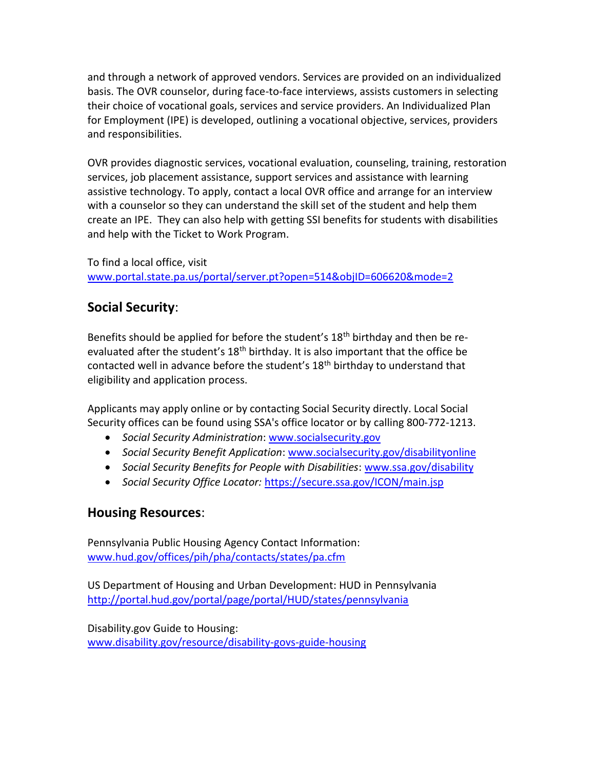and through a network of approved vendors. Services are provided on an individualized basis. The OVR counselor, during face-to-face interviews, assists customers in selecting their choice of vocational goals, services and service providers. An Individualized Plan for Employment (IPE) is developed, outlining a vocational objective, services, providers and responsibilities.

OVR provides diagnostic services, vocational evaluation, counseling, training, restoration services, job placement assistance, support services and assistance with learning assistive technology. To apply, contact a local OVR office and arrange for an interview with a counselor so they can understand the skill set of the student and help them create an IPE. They can also help with getting SSI benefits for students with disabilities and help with the Ticket to Work Program.

To find a local office, visit [www.portal.state.pa.us/portal/server.pt?open=514&objID=606620&mode=2](http://www.portal.state.pa.us/portal/server.pt?open=514&objID=606620&mode=2)

## **Social Security**:

Benefits should be applied for before the student's 18<sup>th</sup> birthday and then be reevaluated after the student's  $18<sup>th</sup>$  birthday. It is also important that the office be contacted well in advance before the student's  $18<sup>th</sup>$  birthday to understand that eligibility and application process.

Applicants may apply online or by contacting Social Security directly. Local Social Security offices can be found using SSA's office locator or by calling 800-772-1213.

- *Social Security Administration*: [www.socialsecurity.gov](http://www.socialsecurity.gov/)
- *Social Security Benefit Application*: [www.socialsecurity.gov/disabilityonline](http://www.socialsecurity.gov/disabilityonline)
- *Social Security Benefits for People with Disabilities*: [www.ssa.gov/disability](http://www.ssa.gov/disability)
- *Social Security Office Locator:* <https://secure.ssa.gov/ICON/main.jsp>

#### **Housing Resources**:

Pennsylvania Public Housing Agency Contact Information: [www.hud.gov/offices/pih/pha/contacts/states/pa.cfm](http://www.hud.gov/offices/pih/pha/contacts/states/pa.cfm)

US Department of Housing and Urban Development: HUD in Pennsylvania <http://portal.hud.gov/portal/page/portal/HUD/states/pennsylvania>

Disability.gov Guide to Housing: [www.disability.gov/resource/disability-govs-guide-housing](http://www.disability.gov/resource/disability-govs-guide-housing)